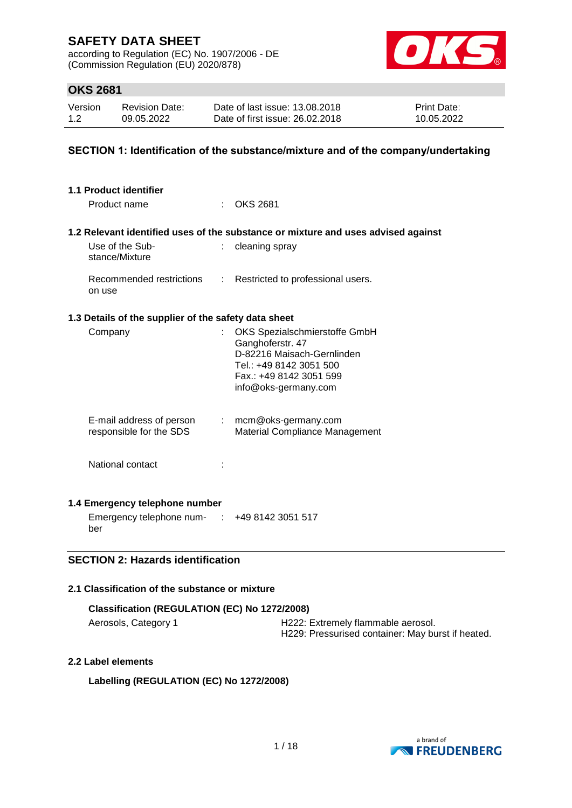according to Regulation (EC) No. 1907/2006 - DE (Commission Regulation (EU) 2020/878)



### **OKS 2681**

| Version | <b>Revision Date:</b> | Date of last issue: 13.08.2018  | <b>Print Date:</b> |
|---------|-----------------------|---------------------------------|--------------------|
| 1.2     | 09.05.2022            | Date of first issue: 26,02,2018 | 10.05.2022         |

#### **SECTION 1: Identification of the substance/mixture and of the company/undertaking**

| 1.1 Product identifier                               |                           |                                                                                                                                                               |
|------------------------------------------------------|---------------------------|---------------------------------------------------------------------------------------------------------------------------------------------------------------|
| Product name                                         |                           | <b>OKS 2681</b>                                                                                                                                               |
|                                                      |                           | 1.2 Relevant identified uses of the substance or mixture and uses advised against                                                                             |
| Use of the Sub-<br>stance/Mixture                    |                           | cleaning spray                                                                                                                                                |
| Recommended restrictions<br>on use                   | $\mathbb{R}^{\mathbb{Z}}$ | Restricted to professional users.                                                                                                                             |
| 1.3 Details of the supplier of the safety data sheet |                           |                                                                                                                                                               |
| Company                                              | t.                        | OKS Spezialschmierstoffe GmbH<br>Ganghoferstr. 47<br>D-82216 Maisach-Gernlinden<br>Tel.: +49 8142 3051 500<br>Fax.: +49 8142 3051 599<br>info@oks-germany.com |
| E-mail address of person<br>responsible for the SDS  |                           | : mcm@oks-germany.com<br>Material Compliance Management                                                                                                       |
| National contact                                     |                           |                                                                                                                                                               |
| 1.4 Emergency telephone number                       |                           |                                                                                                                                                               |
| Emergency telephone num-                             |                           | $\div$ +49 8142 3051 517                                                                                                                                      |

ber

#### **SECTION 2: Hazards identification**

### **2.1 Classification of the substance or mixture**

| Classification (REGULATION (EC) No 1272/2008) |                                                   |  |  |
|-----------------------------------------------|---------------------------------------------------|--|--|
| Aerosols, Category 1                          | H222: Extremely flammable aerosol.                |  |  |
|                                               | H229: Pressurised container: May burst if heated. |  |  |

#### **2.2 Label elements**

**Labelling (REGULATION (EC) No 1272/2008)**

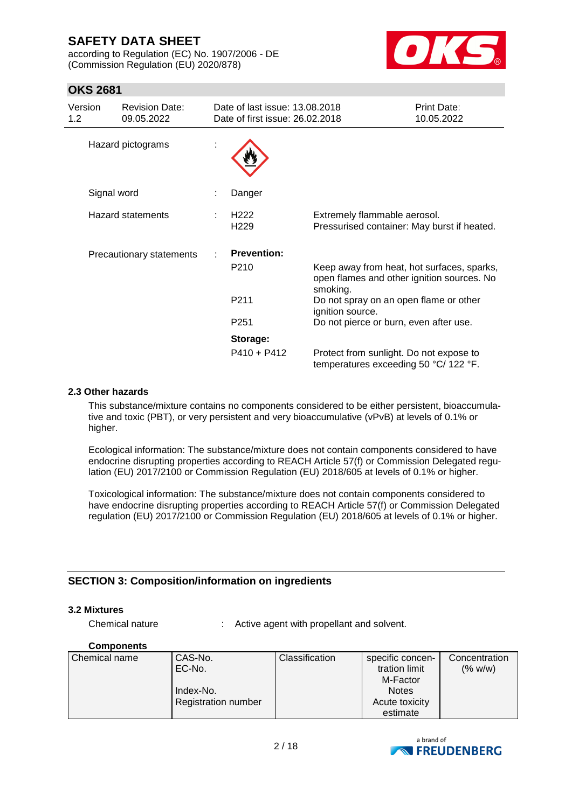according to Regulation (EC) No. 1907/2006 - DE (Commission Regulation (EU) 2020/878)



### **OKS 2681**

| Version<br>1.2 <sub>1</sub> | <b>Revision Date:</b><br>09.05.2022 | Date of last issue: 13.08.2018<br>Date of first issue: 26,02,2018 |                                                                                                      | <b>Print Date:</b><br>10.05.2022 |
|-----------------------------|-------------------------------------|-------------------------------------------------------------------|------------------------------------------------------------------------------------------------------|----------------------------------|
| Hazard pictograms           |                                     |                                                                   |                                                                                                      |                                  |
|                             | Signal word                         | Danger                                                            |                                                                                                      |                                  |
| <b>Hazard statements</b>    |                                     | H <sub>222</sub><br>H <sub>229</sub>                              | Extremely flammable aerosol.<br>Pressurised container: May burst if heated.                          |                                  |
| Precautionary statements    |                                     | <b>Prevention:</b>                                                |                                                                                                      |                                  |
|                             |                                     | P <sub>210</sub>                                                  | Keep away from heat, hot surfaces, sparks,<br>open flames and other ignition sources. No<br>smoking. |                                  |
|                             |                                     | P <sub>211</sub>                                                  | Do not spray on an open flame or other<br>ignition source.                                           |                                  |
|                             |                                     | P <sub>251</sub>                                                  | Do not pierce or burn, even after use.                                                               |                                  |
|                             |                                     | Storage:                                                          |                                                                                                      |                                  |
|                             |                                     | $P410 + P412$                                                     | Protect from sunlight. Do not expose to<br>temperatures exceeding 50 °C/ 122 °F.                     |                                  |

#### **2.3 Other hazards**

This substance/mixture contains no components considered to be either persistent, bioaccumulative and toxic (PBT), or very persistent and very bioaccumulative (vPvB) at levels of 0.1% or higher.

Ecological information: The substance/mixture does not contain components considered to have endocrine disrupting properties according to REACH Article 57(f) or Commission Delegated regulation (EU) 2017/2100 or Commission Regulation (EU) 2018/605 at levels of 0.1% or higher.

Toxicological information: The substance/mixture does not contain components considered to have endocrine disrupting properties according to REACH Article 57(f) or Commission Delegated regulation (EU) 2017/2100 or Commission Regulation (EU) 2018/605 at levels of 0.1% or higher.

#### **SECTION 3: Composition/information on ingredients**

#### **3.2 Mixtures**

Chemical nature : Active agent with propellant and solvent.

#### **Components**

| Chemical name | CAS-No.                    | <b>Classification</b> | specific concen- | Concentration |
|---------------|----------------------------|-----------------------|------------------|---------------|
|               | EC-No.                     |                       | tration limit    | (% w/w)       |
|               |                            |                       | M-Factor         |               |
|               | Index-No.                  |                       | <b>Notes</b>     |               |
|               | <b>Registration number</b> |                       | Acute toxicity   |               |
|               |                            |                       | estimate         |               |

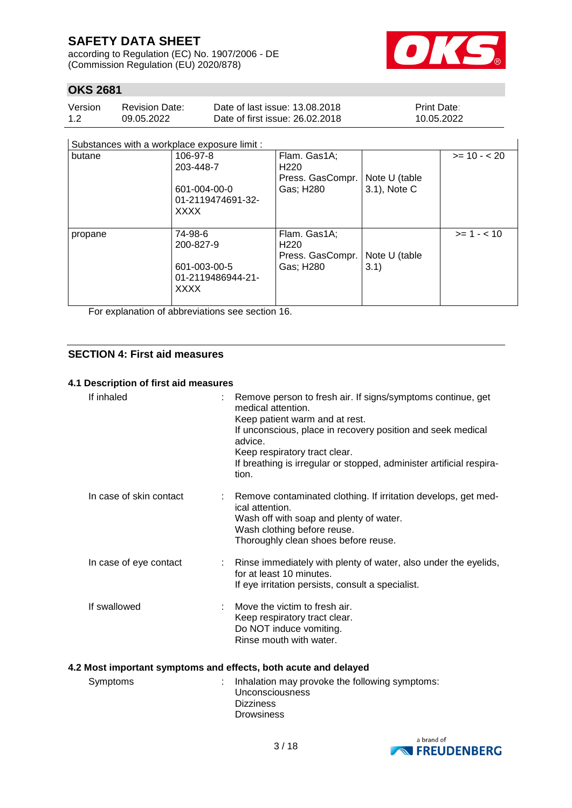according to Regulation (EC) No. 1907/2006 - DE (Commission Regulation (EU) 2020/878)



### **OKS 2681**

| Version | <b>Revision Date:</b> | Date of last issue: 13.08.2018  | <b>Print Date:</b> |
|---------|-----------------------|---------------------------------|--------------------|
| 1.2     | 09.05.2022            | Date of first issue: 26,02,2018 | 10.05.2022         |

#### Substances with a workplace exposure limit :

| Substances with a workplace exposure limit : |                   |                  |               |               |
|----------------------------------------------|-------------------|------------------|---------------|---------------|
| butane                                       | 106-97-8          | Flam. Gas1A;     |               | $>= 10 - 20$  |
|                                              | 203-448-7         | H <sub>220</sub> |               |               |
|                                              |                   | Press. GasCompr. | Note U (table |               |
|                                              | 601-004-00-0      | Gas; H280        | 3.1), Note C  |               |
|                                              | 01-2119474691-32- |                  |               |               |
|                                              | XXXX              |                  |               |               |
|                                              |                   |                  |               |               |
| propane                                      | 74-98-6           | Flam. Gas1A;     |               | $>= 1 - < 10$ |
|                                              | 200-827-9         | H <sub>220</sub> |               |               |
|                                              |                   | Press. GasCompr. | Note U (table |               |
|                                              | 601-003-00-5      | Gas; H280        | 3.1)          |               |
|                                              | 01-2119486944-21- |                  |               |               |
|                                              | <b>XXXX</b>       |                  |               |               |
|                                              |                   |                  |               |               |

For explanation of abbreviations see section 16.

#### **SECTION 4: First aid measures**

#### **4.1 Description of first aid measures**

| If inhaled              | : Remove person to fresh air. If signs/symptoms continue, get<br>medical attention.<br>Keep patient warm and at rest.<br>If unconscious, place in recovery position and seek medical<br>advice.<br>Keep respiratory tract clear.<br>If breathing is irregular or stopped, administer artificial respira-<br>tion. |
|-------------------------|-------------------------------------------------------------------------------------------------------------------------------------------------------------------------------------------------------------------------------------------------------------------------------------------------------------------|
| In case of skin contact | : Remove contaminated clothing. If irritation develops, get med-<br>ical attention.<br>Wash off with soap and plenty of water.<br>Wash clothing before reuse.<br>Thoroughly clean shoes before reuse.                                                                                                             |
| In case of eye contact  | : Rinse immediately with plenty of water, also under the eyelids,<br>for at least 10 minutes.<br>If eye irritation persists, consult a specialist.                                                                                                                                                                |
| If swallowed            | Move the victim to fresh air.<br>Keep respiratory tract clear.<br>Do NOT induce vomiting.<br>Rinse mouth with water.                                                                                                                                                                                              |

#### **4.2 Most important symptoms and effects, both acute and delayed**

| Symptoms | : Inhalation may provoke the following symptoms:<br>Unconsciousness |
|----------|---------------------------------------------------------------------|
|          | <b>Dizziness</b>                                                    |
|          | <b>Drowsiness</b>                                                   |

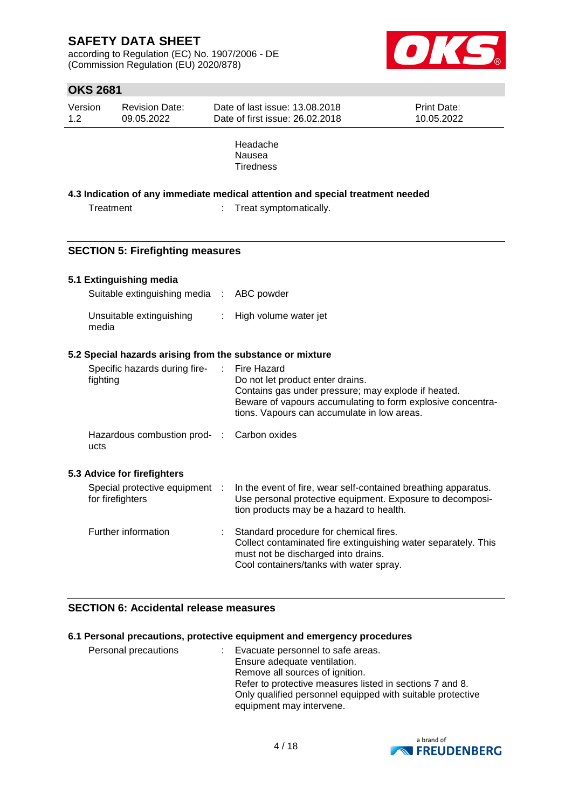according to Regulation (EC) No. 1907/2006 - DE (Commission Regulation (EU) 2020/878)



### **OKS 2681**

| Version | <b>Revision Date:</b> | Date of last issue: 13.08.2018         | <b>Print Date:</b> |
|---------|-----------------------|----------------------------------------|--------------------|
| 1.2     | 09.05.2022            | Date of first issue: 26,02,2018        | 10.05.2022         |
|         |                       | Headache<br>Nausea<br><b>Tiredness</b> |                    |

#### **4.3 Indication of any immediate medical attention and special treatment needed**

Treatment : Treat symptomatically.

#### **SECTION 5: Firefighting measures**

#### **5.1 Extinguishing media**

**5.3 Advice for firefighters**

| Suitable extinguishing media : ABC powder |                         |
|-------------------------------------------|-------------------------|
| Unsuitable extinguishing<br>media         | : High volume water jet |

#### **5.2 Special hazards arising from the substance or mixture**

| Specific hazards during fire-<br>fighting          | : Fire Hazard<br>Do not let product enter drains.<br>Contains gas under pressure; may explode if heated.<br>Beware of vapours accumulating to form explosive concentra-<br>tions. Vapours can accumulate in low areas. |
|----------------------------------------------------|------------------------------------------------------------------------------------------------------------------------------------------------------------------------------------------------------------------------|
| Hazardous combustion prod- : Carbon oxides<br>ucts |                                                                                                                                                                                                                        |
| <b>Advice for firefighters</b>                     |                                                                                                                                                                                                                        |
| Special protective equipment :<br>for firefighters | In the event of fire, wear self-contained breathing apparatus.<br>Use personal protective equipment. Exposure to decomposi-<br>tion products may be a hazard to health.                                                |
| Further information                                | Standard procedure for chemical fires.<br>Collect contaminated fire extinguishing water separately. This<br>must not be discharged into drains.<br>Cool containers/tanks with water spray.                             |

#### **SECTION 6: Accidental release measures**

#### **6.1 Personal precautions, protective equipment and emergency procedures**

| Personal precautions | : Evacuate personnel to safe areas.                        |
|----------------------|------------------------------------------------------------|
|                      | Ensure adequate ventilation.                               |
|                      | Remove all sources of ignition.                            |
|                      | Refer to protective measures listed in sections 7 and 8.   |
|                      | Only qualified personnel equipped with suitable protective |
|                      | equipment may intervene.                                   |

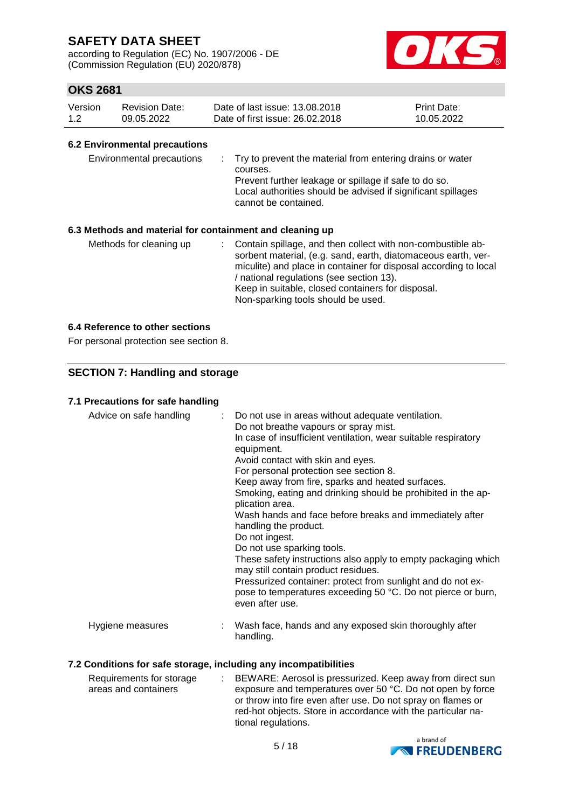according to Regulation (EC) No. 1907/2006 - DE (Commission Regulation (EU) 2020/878)



### **OKS 2681**

| Version | Revision Date: | Date of last issue: 13.08.2018  | <b>Print Date:</b> |
|---------|----------------|---------------------------------|--------------------|
| 1.2     | 09.05.2022     | Date of first issue: 26,02,2018 | 10.05.2022         |

#### **6.2 Environmental precautions**

| Environmental precautions                                | : Try to prevent the material from entering drains or water<br>courses.<br>Prevent further leakage or spillage if safe to do so.<br>Local authorities should be advised if significant spillages<br>cannot be contained. |
|----------------------------------------------------------|--------------------------------------------------------------------------------------------------------------------------------------------------------------------------------------------------------------------------|
| 6.3 Methods and material for containment and cleaning up |                                                                                                                                                                                                                          |
| Methods for cleaning up                                  | Contain spillage, and then collect with non-combustible ab-<br>t.<br>contract state of a same devils and a statements and the state of                                                                                   |

sorbent material, (e.g. sand, earth, diatomaceous earth, vermiculite) and place in container for disposal according to local / national regulations (see section 13). Keep in suitable, closed containers for disposal. Non-sparking tools should be used.

#### **6.4 Reference to other sections**

For personal protection see section 8.

### **SECTION 7: Handling and storage**

#### **7.1 Precautions for safe handling**

| Advice on safe handling | : Do not use in areas without adequate ventilation.<br>Do not breathe vapours or spray mist.<br>In case of insufficient ventilation, wear suitable respiratory<br>equipment.<br>Avoid contact with skin and eyes.<br>For personal protection see section 8.<br>Keep away from fire, sparks and heated surfaces.<br>Smoking, eating and drinking should be prohibited in the ap-<br>plication area.<br>Wash hands and face before breaks and immediately after<br>handling the product.<br>Do not ingest.<br>Do not use sparking tools.<br>These safety instructions also apply to empty packaging which<br>may still contain product residues.<br>Pressurized container: protect from sunlight and do not ex-<br>pose to temperatures exceeding 50 °C. Do not pierce or burn,<br>even after use. |
|-------------------------|--------------------------------------------------------------------------------------------------------------------------------------------------------------------------------------------------------------------------------------------------------------------------------------------------------------------------------------------------------------------------------------------------------------------------------------------------------------------------------------------------------------------------------------------------------------------------------------------------------------------------------------------------------------------------------------------------------------------------------------------------------------------------------------------------|
| Hygiene measures        | : Wash face, hands and any exposed skin thoroughly after<br>handling.                                                                                                                                                                                                                                                                                                                                                                                                                                                                                                                                                                                                                                                                                                                            |

#### **7.2 Conditions for safe storage, including any incompatibilities**

| Requirements for storage | : BEWARE: Aerosol is pressurized. Keep away from direct sun  |
|--------------------------|--------------------------------------------------------------|
| areas and containers     | exposure and temperatures over 50 °C. Do not open by force   |
|                          | or throw into fire even after use. Do not spray on flames or |
|                          | red-hot objects. Store in accordance with the particular na- |
|                          | tional regulations.                                          |

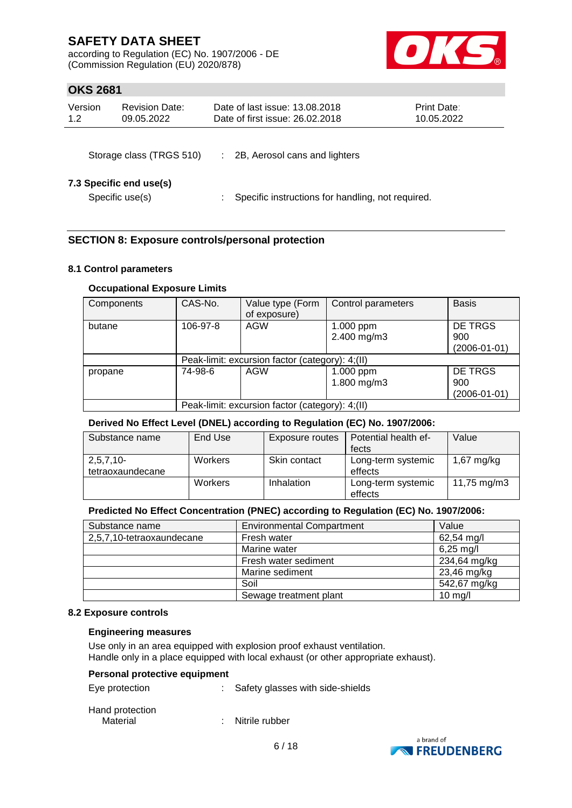according to Regulation (EC) No. 1907/2006 - DE (Commission Regulation (EU) 2020/878)



### **OKS 2681**

| Version | <b>Revision Date:</b> | Date of last issue: 13.08.2018  | <b>Print Date:</b> |
|---------|-----------------------|---------------------------------|--------------------|
| 1.2     | 09.05.2022            | Date of first issue: 26,02,2018 | 10.05.2022         |
|         |                       |                                 |                    |

| Storage class (TRGS 510) |  | 2B, Aerosol cans and lighters |  |
|--------------------------|--|-------------------------------|--|
|                          |  |                               |  |

#### **7.3 Specific end use(s)**

Specific use(s) : Specific instructions for handling, not required.

### **SECTION 8: Exposure controls/personal protection**

#### **8.1 Control parameters**

#### **Occupational Exposure Limits**

| Components | CAS-No.                                         | Value type (Form<br>of exposure) | Control parameters       | <b>Basis</b>                         |  |  |
|------------|-------------------------------------------------|----------------------------------|--------------------------|--------------------------------------|--|--|
| butane     | 106-97-8                                        | <b>AGW</b>                       | 1.000 ppm<br>2.400 mg/m3 | DE TRGS<br>900<br>$(2006 - 01 - 01)$ |  |  |
|            | Peak-limit: excursion factor (category): 4;(II) |                                  |                          |                                      |  |  |
| propane    | 74-98-6                                         | AGW                              | 1.000 ppm<br>1.800 mg/m3 | DE TRGS<br>900<br>$(2006 - 01 - 01)$ |  |  |
|            | Peak-limit: excursion factor (category): 4;(II) |                                  |                          |                                      |  |  |

#### **Derived No Effect Level (DNEL) according to Regulation (EC) No. 1907/2006:**

| Substance name                  | End Use | Exposure routes | Potential health ef-<br>fects | Value        |
|---------------------------------|---------|-----------------|-------------------------------|--------------|
| $2,5,7,10-$<br>tetraoxaundecane | Workers | Skin contact    | Long-term systemic<br>effects | $1,67$ mg/kg |
|                                 | Workers | Inhalation      | Long-term systemic<br>effects | 11,75 mg/m3  |

#### **Predicted No Effect Concentration (PNEC) according to Regulation (EC) No. 1907/2006:**

| Substance name            | <b>Environmental Compartment</b> | Value                |
|---------------------------|----------------------------------|----------------------|
| 2,5,7,10-tetraoxaundecane | Fresh water                      | $62,54 \text{ mg/l}$ |
|                           | Marine water                     | $6,25 \text{ mg/l}$  |
|                           | Fresh water sediment             | 234,64 mg/kg         |
|                           | Marine sediment                  | 23,46 mg/kg          |
|                           | Soil                             | 542,67 mg/kg         |
|                           | Sewage treatment plant           | $10 \text{ mg/l}$    |

#### **8.2 Exposure controls**

#### **Engineering measures**

Use only in an area equipped with explosion proof exhaust ventilation. Handle only in a place equipped with local exhaust (or other appropriate exhaust).

#### **Personal protective equipment**

| Eye protection  | : Safety glasses with side-shields |
|-----------------|------------------------------------|
| Hand protection |                                    |
| Material        | : Nitrile rubber                   |



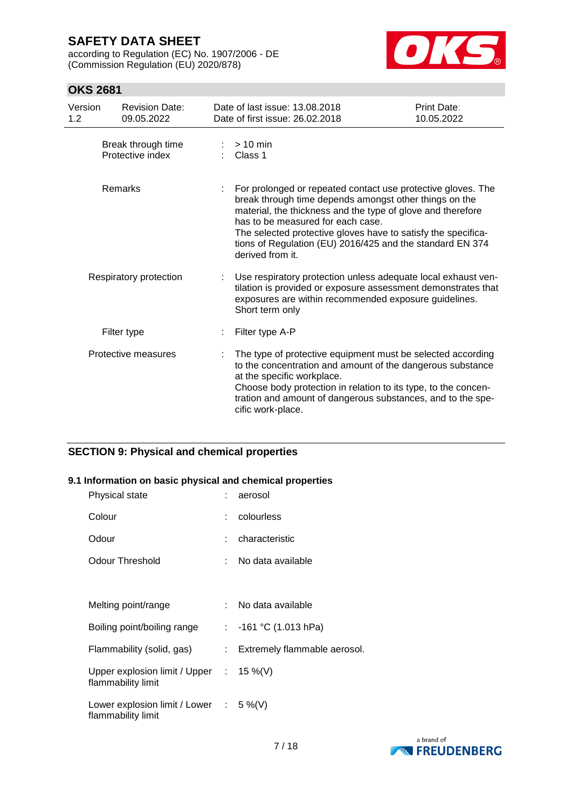according to Regulation (EC) No. 1907/2006 - DE (Commission Regulation (EU) 2020/878)



### **OKS 2681**

| Version<br>1.2 | <b>Revision Date:</b><br>09.05.2022    | Date of last issue: 13.08.2018<br>Date of first issue: 26.02.2018                                                                                                                                                                                                                                                                                                            | Print Date:<br>10.05.2022 |
|----------------|----------------------------------------|------------------------------------------------------------------------------------------------------------------------------------------------------------------------------------------------------------------------------------------------------------------------------------------------------------------------------------------------------------------------------|---------------------------|
|                | Break through time<br>Protective index | $> 10$ min<br>Class 1                                                                                                                                                                                                                                                                                                                                                        |                           |
|                | Remarks                                | For prolonged or repeated contact use protective gloves. The<br>break through time depends amongst other things on the<br>material, the thickness and the type of glove and therefore<br>has to be measured for each case.<br>The selected protective gloves have to satisfy the specifica-<br>tions of Regulation (EU) 2016/425 and the standard EN 374<br>derived from it. |                           |
|                | Respiratory protection                 | Use respiratory protection unless adequate local exhaust ven-<br>tilation is provided or exposure assessment demonstrates that<br>exposures are within recommended exposure guidelines.<br>Short term only                                                                                                                                                                   |                           |
|                | Filter type                            | Filter type A-P                                                                                                                                                                                                                                                                                                                                                              |                           |
|                | Protective measures                    | The type of protective equipment must be selected according<br>to the concentration and amount of the dangerous substance<br>at the specific workplace.<br>Choose body protection in relation to its type, to the concen-<br>tration and amount of dangerous substances, and to the spe-<br>cific work-place.                                                                |                           |

### **SECTION 9: Physical and chemical properties**

#### **9.1 Information on basic physical and chemical properties**

| Physical state                                                          |    | : aerosol                      |
|-------------------------------------------------------------------------|----|--------------------------------|
| Colour                                                                  |    | : colourless                   |
| Odour                                                                   |    | characteristic                 |
| <b>Odour Threshold</b>                                                  | t. | No data available              |
|                                                                         |    |                                |
| Melting point/range                                                     |    | : No data available            |
| Boiling point/boiling range                                             |    | : $-161$ °C (1.013 hPa)        |
| Flammability (solid, gas)                                               |    | : Extremely flammable aerosol. |
| Upper explosion limit / Upper : $15\%$ (V)<br>flammability limit        |    |                                |
| Lower explosion limit / Lower $\therefore$ 5 %(V)<br>flammability limit |    |                                |

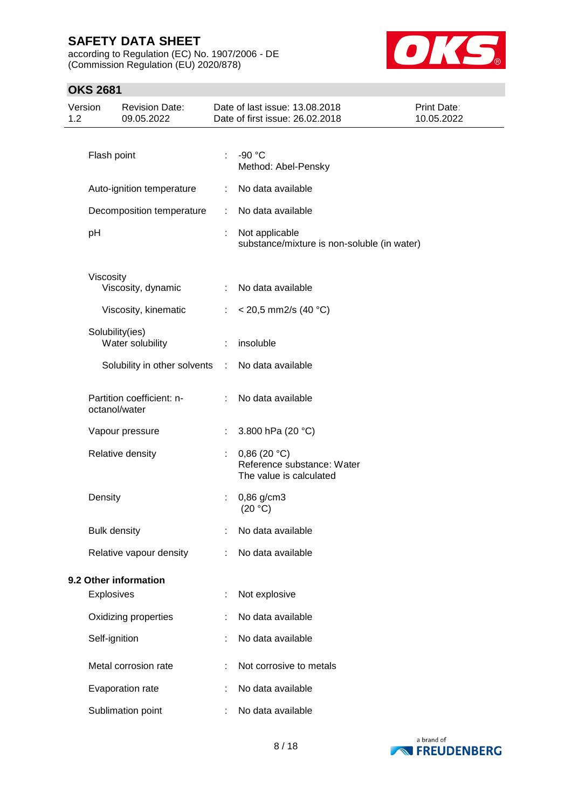according to Regulation (EC) No. 1907/2006 - DE (Commission Regulation (EU) 2020/878)



### **OKS 2681**

| 1.2 | Version             | <b>Revision Date:</b><br>09.05.2022        |                       | Date of last issue: 13.08.2018<br>Date of first issue: 26.02.2018    | <b>Print Date:</b><br>10.05.2022 |
|-----|---------------------|--------------------------------------------|-----------------------|----------------------------------------------------------------------|----------------------------------|
|     |                     |                                            |                       |                                                                      |                                  |
|     | Flash point         |                                            |                       | -90 °C<br>Method: Abel-Pensky                                        |                                  |
|     |                     | Auto-ignition temperature                  |                       | No data available                                                    |                                  |
|     |                     | Decomposition temperature                  | ÷                     | No data available                                                    |                                  |
|     | pH                  |                                            | ÷                     | Not applicable<br>substance/mixture is non-soluble (in water)        |                                  |
|     | Viscosity           |                                            |                       |                                                                      |                                  |
|     |                     | Viscosity, dynamic                         | ÷                     | No data available                                                    |                                  |
|     |                     | Viscosity, kinematic                       | ÷                     | $<$ 20,5 mm2/s (40 °C)                                               |                                  |
|     |                     | Solubility(ies)<br>Water solubility        | ÷                     | insoluble                                                            |                                  |
|     |                     | Solubility in other solvents               | $\mathbb{Z}^{\times}$ | No data available                                                    |                                  |
|     |                     | Partition coefficient: n-<br>octanol/water | ÷                     | No data available                                                    |                                  |
|     |                     | Vapour pressure                            |                       | 3.800 hPa (20 °C)                                                    |                                  |
|     |                     | Relative density                           |                       | 0,86(20 °C)<br>Reference substance: Water<br>The value is calculated |                                  |
|     | Density             |                                            |                       | $0,86$ g/cm3<br>(20 °C)                                              |                                  |
|     | <b>Bulk density</b> |                                            |                       | No data available                                                    |                                  |
|     |                     | Relative vapour density                    |                       | No data available                                                    |                                  |
|     |                     | 9.2 Other information                      |                       |                                                                      |                                  |
|     | Explosives          |                                            |                       | Not explosive                                                        |                                  |
|     |                     | Oxidizing properties                       |                       | No data available                                                    |                                  |
|     | Self-ignition       |                                            |                       | No data available                                                    |                                  |
|     |                     | Metal corrosion rate                       |                       | Not corrosive to metals                                              |                                  |
|     |                     | Evaporation rate                           |                       | No data available                                                    |                                  |
|     |                     | Sublimation point                          |                       | No data available                                                    |                                  |

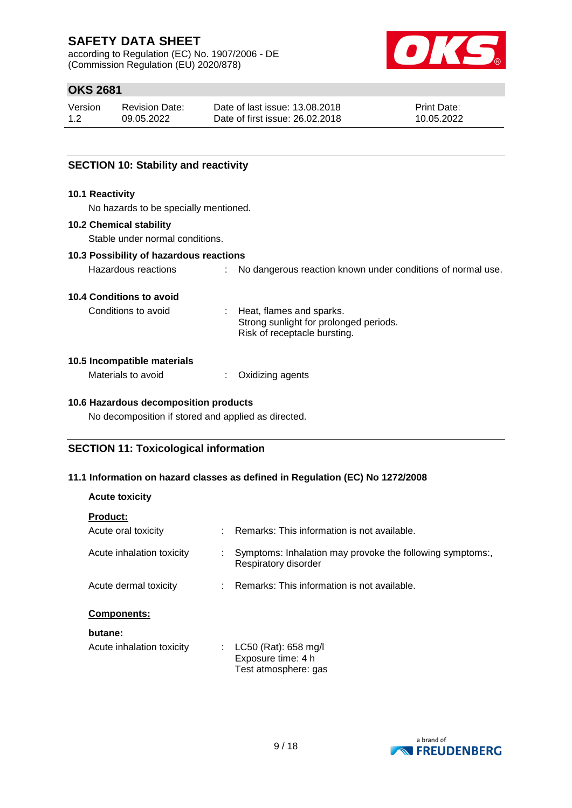according to Regulation (EC) No. 1907/2006 - DE (Commission Regulation (EU) 2020/878)



### **OKS 2681**

| Version | <b>Revision Date:</b> | Date of last issue: 13.08.2018  | <b>Print Date:</b> |
|---------|-----------------------|---------------------------------|--------------------|
| 1.2     | 09.05.2022            | Date of first issue: 26.02.2018 | 10.05.2022         |

#### **SECTION 10: Stability and reactivity**

#### **10.1 Reactivity**

No hazards to be specially mentioned.

#### **10.2 Chemical stability**

Stable under normal conditions.

#### **10.3 Possibility of hazardous reactions**

Hazardous reactions : No dangerous reaction known under conditions of normal use.

#### **10.4 Conditions to avoid**

Conditions to avoid : Heat, flames and sparks. Strong sunlight for prolonged periods. Risk of receptacle bursting.

#### **10.5 Incompatible materials**

| Materials to avoid | Oxidizing agents |
|--------------------|------------------|
|--------------------|------------------|

#### **10.6 Hazardous decomposition products**

No decomposition if stored and applied as directed.

#### **SECTION 11: Toxicological information**

#### **11.1 Information on hazard classes as defined in Regulation (EC) No 1272/2008**

| <b>Acute toxicity</b> |
|-----------------------|
|                       |

| <b>Product:</b>           |                                                                                   |
|---------------------------|-----------------------------------------------------------------------------------|
| Acute oral toxicity       | Remarks: This information is not available.                                       |
| Acute inhalation toxicity | Symptoms: Inhalation may provoke the following symptoms:,<br>Respiratory disorder |
| Acute dermal toxicity     | : Remarks: This information is not available.                                     |
| <b>Components:</b>        |                                                                                   |
| butane:                   |                                                                                   |
| Acute inhalation toxicity | LC50 (Rat): 658 mg/l<br>Exposure time: 4 h<br>Test atmosphere: gas                |

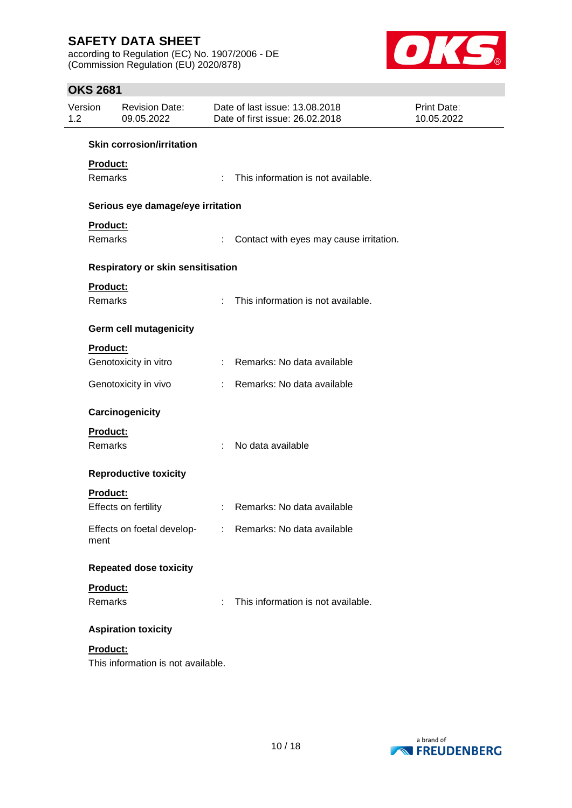according to Regulation (EC) No. 1907/2006 - DE (Commission Regulation (EU) 2020/878)



### **OKS 2681**

| Version<br>1.2  | <b>Revision Date:</b><br>09.05.2022      |                           | Date of last issue: 13.08.2018<br>Date of first issue: 26.02.2018 | Print Date:<br>10.05.2022 |
|-----------------|------------------------------------------|---------------------------|-------------------------------------------------------------------|---------------------------|
|                 | <b>Skin corrosion/irritation</b>         |                           |                                                                   |                           |
| Product:        |                                          |                           |                                                                   |                           |
| Remarks         |                                          |                           | : This information is not available.                              |                           |
|                 | Serious eye damage/eye irritation        |                           |                                                                   |                           |
| Product:        |                                          |                           |                                                                   |                           |
| Remarks         |                                          |                           | Contact with eyes may cause irritation.                           |                           |
|                 | <b>Respiratory or skin sensitisation</b> |                           |                                                                   |                           |
| Product:        |                                          |                           |                                                                   |                           |
| Remarks         |                                          | $\mathbb{R}^{\mathbb{Z}}$ | This information is not available.                                |                           |
|                 | <b>Germ cell mutagenicity</b>            |                           |                                                                   |                           |
| <b>Product:</b> |                                          |                           |                                                                   |                           |
|                 | Genotoxicity in vitro                    |                           | : Remarks: No data available                                      |                           |
|                 | Genotoxicity in vivo                     |                           | : Remarks: No data available                                      |                           |
|                 | Carcinogenicity                          |                           |                                                                   |                           |
| Product:        |                                          |                           |                                                                   |                           |
| <b>Remarks</b>  |                                          | ÷                         | No data available                                                 |                           |
|                 | <b>Reproductive toxicity</b>             |                           |                                                                   |                           |
| Product:        |                                          |                           |                                                                   |                           |
|                 | Effects on fertility                     |                           | : Remarks: No data available                                      |                           |
| ment            |                                          |                           | Effects on foetal develop- : Remarks: No data available           |                           |
|                 | <b>Repeated dose toxicity</b>            |                           |                                                                   |                           |
| Product:        |                                          |                           |                                                                   |                           |
| Remarks         |                                          | ÷.                        | This information is not available.                                |                           |
|                 | <b>Aspiration toxicity</b>               |                           |                                                                   |                           |
| Product:        |                                          |                           |                                                                   |                           |
|                 | This information is not available.       |                           |                                                                   |                           |

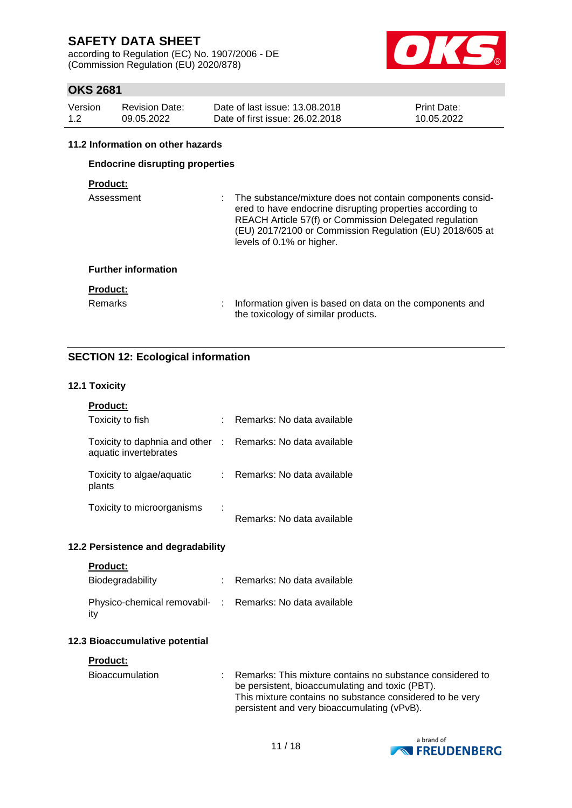according to Regulation (EC) No. 1907/2006 - DE (Commission Regulation (EU) 2020/878)



### **OKS 2681**

| Version | <b>Revision Date:</b> | Date of last issue: 13.08.2018  | Print Date: |
|---------|-----------------------|---------------------------------|-------------|
| 1.2     | 09.05.2022            | Date of first issue: 26,02,2018 | 10.05.2022  |

#### **11.2 Information on other hazards**

### **Endocrine disrupting properties**

### **Product:**

| Assessment                 | The substance/mixture does not contain components consid-<br>ered to have endocrine disrupting properties according to<br>REACH Article 57(f) or Commission Delegated regulation<br>(EU) 2017/2100 or Commission Regulation (EU) 2018/605 at<br>levels of 0.1% or higher. |
|----------------------------|---------------------------------------------------------------------------------------------------------------------------------------------------------------------------------------------------------------------------------------------------------------------------|
| <b>Further information</b> |                                                                                                                                                                                                                                                                           |
| <b>Product:</b>            |                                                                                                                                                                                                                                                                           |
| <b>Remarks</b>             | Information given is based on data on the components and<br>the toxicology of similar products.                                                                                                                                                                           |

### **SECTION 12: Ecological information**

#### **12.1 Toxicity**

| <b>Product:</b>                                                                     |                            |
|-------------------------------------------------------------------------------------|----------------------------|
| Toxicity to fish                                                                    | Remarks: No data available |
| Toxicity to daphnia and other : Remarks: No data available<br>aquatic invertebrates |                            |
| Toxicity to algae/aquatic<br>plants                                                 | Remarks: No data available |
| Toxicity to microorganisms                                                          | Remarks: No data available |

#### **12.2 Persistence and degradability**

|  | Product |  |
|--|---------|--|
|  |         |  |

| Biodegradability                                                | Remarks: No data available |
|-----------------------------------------------------------------|----------------------------|
| Physico-chemical removabil- : Remarks: No data available<br>itv |                            |

#### **12.3 Bioaccumulative potential**

#### **Product:**

| Bioaccumulation | Remarks: This mixture contains no substance considered to |
|-----------------|-----------------------------------------------------------|
|                 | be persistent, bioaccumulating and toxic (PBT).           |
|                 | This mixture contains no substance considered to be very  |
|                 | persistent and very bioaccumulating (vPvB).               |

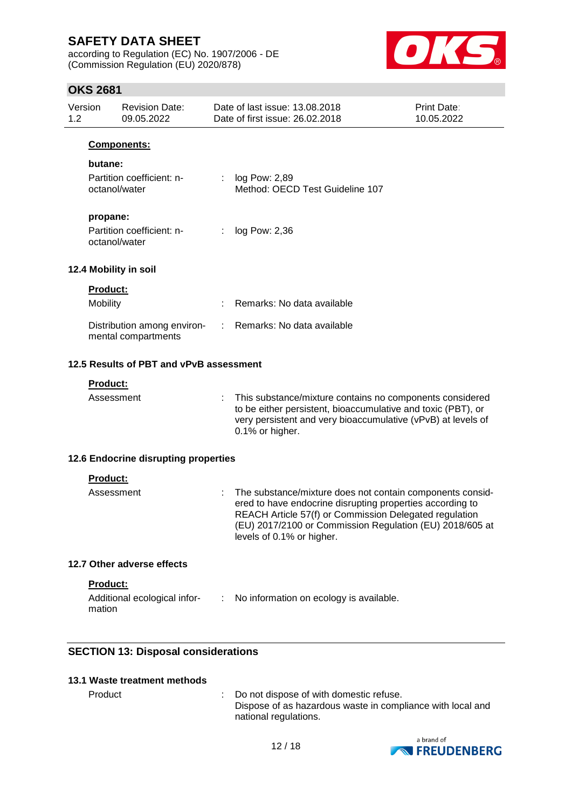according to Regulation (EC) No. 1907/2006 - DE (Commission Regulation (EU) 2020/878)



### **OKS 2681**

|                | ו טט∡ טרו       |                                                    |    |                                                                                                                                                                                                                                                                           |                           |
|----------------|-----------------|----------------------------------------------------|----|---------------------------------------------------------------------------------------------------------------------------------------------------------------------------------------------------------------------------------------------------------------------------|---------------------------|
| Version<br>1.2 |                 | <b>Revision Date:</b><br>09.05.2022                |    | Date of last issue: 13,08,2018<br>Date of first issue: 26.02.2018                                                                                                                                                                                                         | Print Date:<br>10.05.2022 |
|                |                 | Components:                                        |    |                                                                                                                                                                                                                                                                           |                           |
|                | butane:         |                                                    |    |                                                                                                                                                                                                                                                                           |                           |
|                |                 | Partition coefficient: n-<br>octanol/water         | ÷. | log Pow: 2,89<br>Method: OECD Test Guideline 107                                                                                                                                                                                                                          |                           |
|                |                 |                                                    |    |                                                                                                                                                                                                                                                                           |                           |
|                | propane:        | Partition coefficient: n-<br>octanol/water         |    | log Pow: 2,36                                                                                                                                                                                                                                                             |                           |
|                |                 | 12.4 Mobility in soil                              |    |                                                                                                                                                                                                                                                                           |                           |
|                | <b>Product:</b> |                                                    |    |                                                                                                                                                                                                                                                                           |                           |
|                | Mobility        |                                                    |    | Remarks: No data available                                                                                                                                                                                                                                                |                           |
|                |                 | Distribution among environ-<br>mental compartments |    | Remarks: No data available                                                                                                                                                                                                                                                |                           |
|                |                 | 12.5 Results of PBT and vPvB assessment            |    |                                                                                                                                                                                                                                                                           |                           |
|                | <b>Product:</b> |                                                    |    |                                                                                                                                                                                                                                                                           |                           |
|                | Assessment      |                                                    |    | This substance/mixture contains no components considered<br>to be either persistent, bioaccumulative and toxic (PBT), or<br>very persistent and very bioaccumulative (vPvB) at levels of<br>0.1% or higher.                                                               |                           |
|                |                 | 12.6 Endocrine disrupting properties               |    |                                                                                                                                                                                                                                                                           |                           |
|                | <b>Product:</b> |                                                    |    |                                                                                                                                                                                                                                                                           |                           |
|                | Assessment      |                                                    |    | The substance/mixture does not contain components consid-<br>ered to have endocrine disrupting properties according to<br>REACH Article 57(f) or Commission Delegated regulation<br>(EU) 2017/2100 or Commission Regulation (EU) 2018/605 at<br>levels of 0.1% or higher. |                           |
|                |                 | 12.7 Other adverse effects                         |    |                                                                                                                                                                                                                                                                           |                           |
|                | Product:        |                                                    |    |                                                                                                                                                                                                                                                                           |                           |
|                |                 | Additional ecological infor-                       | A. | No information on ecology is available.                                                                                                                                                                                                                                   |                           |

#### **SECTION 13: Disposal considerations**

#### **13.1 Waste treatment methods**

mation

Product : Do not dispose of with domestic refuse. Dispose of as hazardous waste in compliance with local and national regulations.

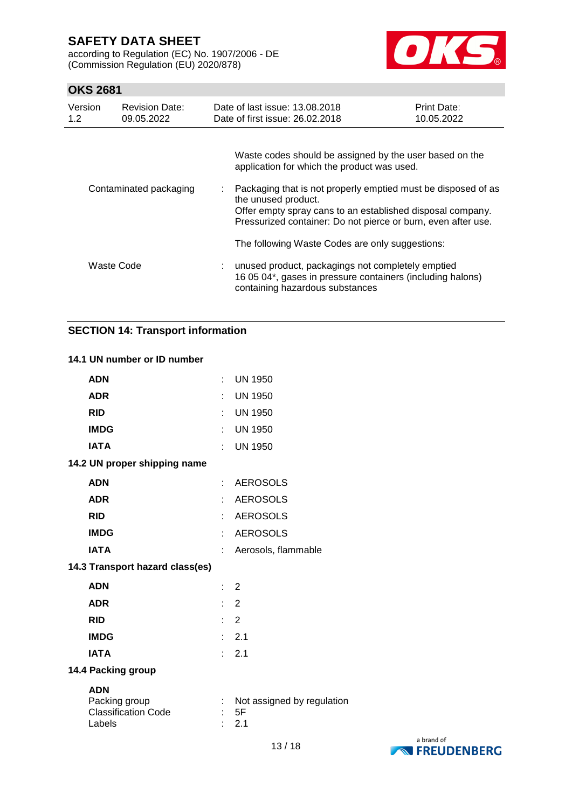according to Regulation (EC) No. 1907/2006 - DE (Commission Regulation (EU) 2020/878)



### **OKS 2681**

| Version<br>1.2         | <b>Revision Date:</b><br>09.05.2022 | Date of last issue: 13.08.2018<br>Date of first issue: 26.02.2018                                                                                                                                                                                                                                                               | Print Date:<br>10.05.2022 |
|------------------------|-------------------------------------|---------------------------------------------------------------------------------------------------------------------------------------------------------------------------------------------------------------------------------------------------------------------------------------------------------------------------------|---------------------------|
| Contaminated packaging |                                     | Waste codes should be assigned by the user based on the<br>application for which the product was used.<br>: Packaging that is not properly emptied must be disposed of as<br>the unused product.<br>Offer empty spray cans to an established disposal company.<br>Pressurized container: Do not pierce or burn, even after use. |                           |
|                        | Waste Code                          | The following Waste Codes are only suggestions:<br>unused product, packagings not completely emptied<br>16 05 04*, gases in pressure containers (including halons)<br>containing hazardous substances                                                                                                                           |                           |

### **SECTION 14: Transport information**

#### **14.1 UN number or ID number**

| <b>ADN</b>                                                          |                           | <b>UN 1950</b>                            |
|---------------------------------------------------------------------|---------------------------|-------------------------------------------|
| <b>ADR</b>                                                          | ÷                         | <b>UN 1950</b>                            |
| <b>RID</b>                                                          | ÷                         | <b>UN 1950</b>                            |
| <b>IMDG</b>                                                         |                           | : UN 1950                                 |
| <b>IATA</b>                                                         |                           | <b>UN 1950</b>                            |
| 14.2 UN proper shipping name                                        |                           |                                           |
| <b>ADN</b>                                                          | t.                        | <b>AEROSOLS</b>                           |
| <b>ADR</b>                                                          | ÷.                        | <b>AEROSOLS</b>                           |
| <b>RID</b>                                                          | t.                        | <b>AEROSOLS</b>                           |
| <b>IMDG</b>                                                         | ÷                         | <b>AEROSOLS</b>                           |
| <b>IATA</b>                                                         | t                         | Aerosols, flammable                       |
| 14.3 Transport hazard class(es)                                     |                           |                                           |
| <b>ADN</b>                                                          | $\mathbb{R}^{\mathbb{Z}}$ | 2                                         |
| <b>ADR</b>                                                          | Đ.                        | $\overline{2}$                            |
| <b>RID</b>                                                          |                           | $\therefore$ 2                            |
| <b>IMDG</b>                                                         |                           | : 2.1                                     |
| <b>IATA</b>                                                         | t.                        | 2.1                                       |
| 14.4 Packing group                                                  |                           |                                           |
| <b>ADN</b><br>Packing group<br><b>Classification Code</b><br>Labels | $\bullet$                 | Not assigned by regulation<br>- 5F<br>2.1 |

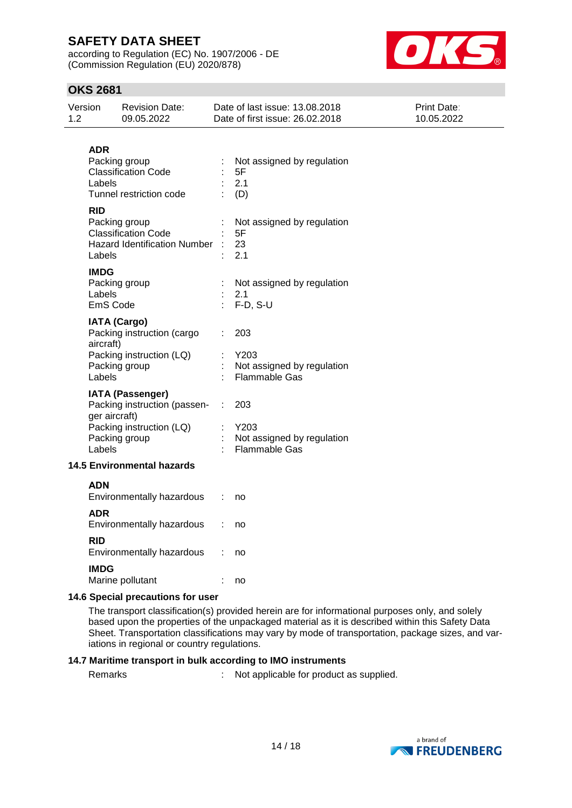according to Regulation (EC) No. 1907/2006 - DE (Commission Regulation (EU) 2020/878)



### **OKS 2681**

| Version<br>1.2 |                                   | <b>Revision Date:</b><br>09.05.2022                                                                  |   | Date of last issue: 13.08.2018<br>Date of first issue: 26.02.2018 | <b>Print Date:</b><br>10.05.2022 |
|----------------|-----------------------------------|------------------------------------------------------------------------------------------------------|---|-------------------------------------------------------------------|----------------------------------|
|                | <b>ADR</b><br>Labels              | Packing group<br><b>Classification Code</b><br>Tunnel restriction code                               |   | Not assigned by regulation<br>5F<br>2.1<br>(D)                    |                                  |
|                | <b>RID</b><br>Labels              | Packing group<br><b>Classification Code</b><br><b>Hazard Identification Number</b>                   |   | Not assigned by regulation<br>5F<br>23<br>2.1                     |                                  |
|                | <b>IMDG</b><br>Labels<br>EmS Code | Packing group                                                                                        |   | Not assigned by regulation<br>2.1<br>$F-D, S-U$                   |                                  |
|                | aircraft)<br>Labels               | <b>IATA (Cargo)</b><br>Packing instruction (cargo<br>Packing instruction (LQ)<br>Packing group       |   | 203<br>Y203<br>Not assigned by regulation<br><b>Flammable Gas</b> |                                  |
|                | ger aircraft)<br>Labels           | <b>IATA (Passenger)</b><br>Packing instruction (passen-<br>Packing instruction (LQ)<br>Packing group | ÷ | 203<br>Y203<br>Not assigned by regulation<br><b>Flammable Gas</b> |                                  |
|                |                                   | <b>14.5 Environmental hazards</b>                                                                    |   |                                                                   |                                  |
|                | <b>ADN</b>                        | Environmentally hazardous                                                                            |   | no                                                                |                                  |
|                | <b>ADR</b>                        | Environmentally hazardous                                                                            |   | no                                                                |                                  |
|                | <b>RID</b>                        | Environmentally hazardous                                                                            |   | no                                                                |                                  |
|                | <b>IMDG</b>                       | Marine pollutant                                                                                     |   | no                                                                |                                  |
|                |                                   |                                                                                                      |   |                                                                   |                                  |

#### **14.6 Special precautions for user**

The transport classification(s) provided herein are for informational purposes only, and solely based upon the properties of the unpackaged material as it is described within this Safety Data Sheet. Transportation classifications may vary by mode of transportation, package sizes, and variations in regional or country regulations.

#### **14.7 Maritime transport in bulk according to IMO instruments**

Remarks : Not applicable for product as supplied.

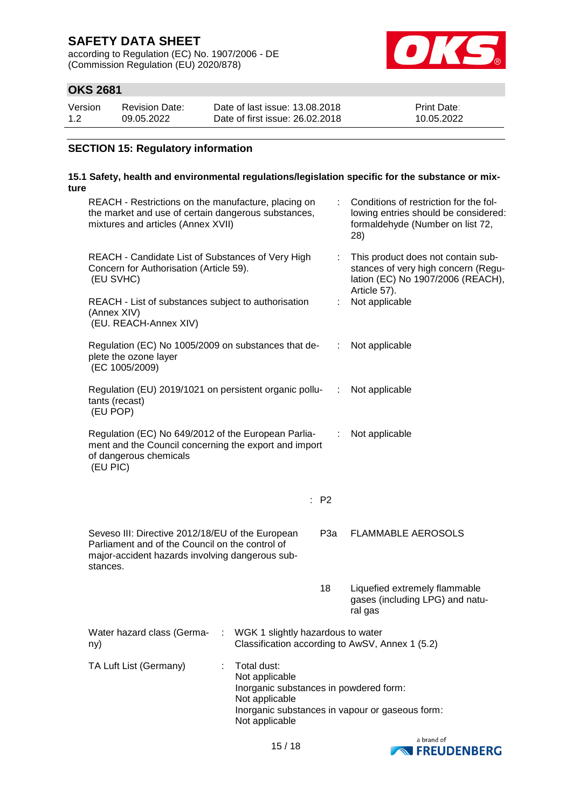according to Regulation (EC) No. 1907/2006 - DE (Commission Regulation (EU) 2020/878)



### **OKS 2681**

| Version | Revision Date: | Date of last issue: 13.08.2018  | <b>Print Date:</b> |
|---------|----------------|---------------------------------|--------------------|
| 1.2     | 09.05.2022     | Date of first issue: 26,02,2018 | 10.05.2022         |

### **SECTION 15: Regulatory information**

#### **15.1 Safety, health and environmental regulations/legislation specific for the substance or mixture**

| REACH - Restrictions on the manufacture, placing on<br>the market and use of certain dangerous substances,<br>mixtures and articles (Annex XVII)                   |                                                                                                             | Conditions of restriction for the fol-<br>lowing entries should be considered:<br>formaldehyde (Number on list 72,<br>28)      |                                                                             |
|--------------------------------------------------------------------------------------------------------------------------------------------------------------------|-------------------------------------------------------------------------------------------------------------|--------------------------------------------------------------------------------------------------------------------------------|-----------------------------------------------------------------------------|
| REACH - Candidate List of Substances of Very High<br>Concern for Authorisation (Article 59).<br>(EU SVHC)                                                          | ÷.                                                                                                          | This product does not contain sub-<br>stances of very high concern (Regu-<br>lation (EC) No 1907/2006 (REACH),<br>Article 57). |                                                                             |
| REACH - List of substances subject to authorisation<br>(Annex XIV)<br>(EU. REACH-Annex XIV)                                                                        |                                                                                                             | t.                                                                                                                             | Not applicable                                                              |
| Regulation (EC) No 1005/2009 on substances that de-<br>plete the ozone layer<br>(EC 1005/2009)                                                                     |                                                                                                             | ÷                                                                                                                              | Not applicable                                                              |
| Regulation (EU) 2019/1021 on persistent organic pollu-<br>tants (recast)<br>(EU POP)                                                                               |                                                                                                             | ÷.                                                                                                                             | Not applicable                                                              |
| Regulation (EC) No 649/2012 of the European Parlia-<br>ment and the Council concerning the export and import<br>of dangerous chemicals<br>(EU PIC)                 |                                                                                                             | ÷                                                                                                                              | Not applicable                                                              |
|                                                                                                                                                                    |                                                                                                             | : P2                                                                                                                           |                                                                             |
| Seveso III: Directive 2012/18/EU of the European<br>Parliament and of the Council on the control of<br>major-accident hazards involving dangerous sub-<br>stances. |                                                                                                             | P <sub>3</sub> a                                                                                                               | <b>FLAMMABLE AEROSOLS</b>                                                   |
|                                                                                                                                                                    |                                                                                                             | 18                                                                                                                             | Liquefied extremely flammable<br>gases (including LPG) and natu-<br>ral gas |
| Water hazard class (Germa-<br>ny)                                                                                                                                  | WGK 1 slightly hazardous to water                                                                           |                                                                                                                                | Classification according to AwSV, Annex 1 (5.2)                             |
| TA Luft List (Germany)<br>÷                                                                                                                                        | Total dust:<br>Not applicable<br>Inorganic substances in powdered form:<br>Not applicable<br>Not applicable |                                                                                                                                | Inorganic substances in vapour or gaseous form:                             |

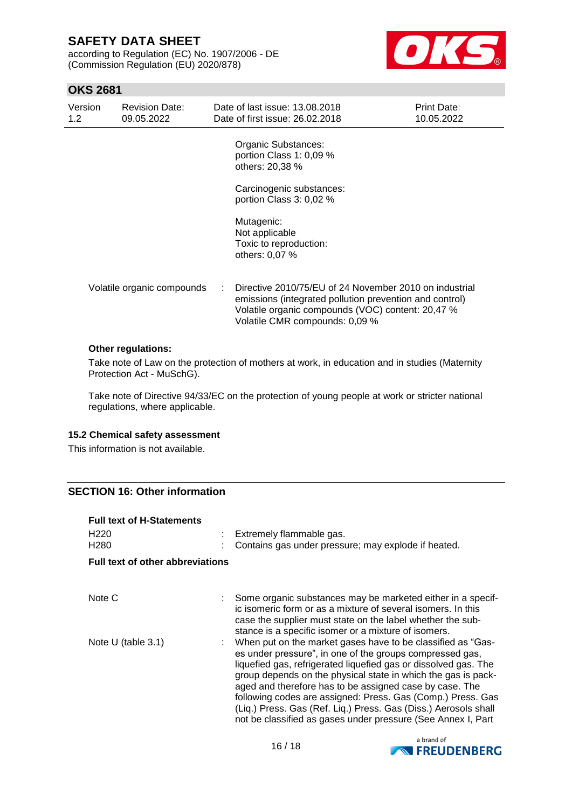according to Regulation (EC) No. 1907/2006 - DE (Commission Regulation (EU) 2020/878)



### **OKS 2681**

| Version<br>1.2 <sub>1</sub> | <b>Revision Date:</b><br>09.05.2022 | Date of last issue: 13.08.2018<br>Date of first issue: 26.02.2018                                                                                                                                        | Print Date:<br>10.05.2022 |
|-----------------------------|-------------------------------------|----------------------------------------------------------------------------------------------------------------------------------------------------------------------------------------------------------|---------------------------|
|                             |                                     | Organic Substances:<br>portion Class 1: 0,09 %<br>others: 20,38 %                                                                                                                                        |                           |
|                             |                                     | Carcinogenic substances:<br>portion Class 3: 0,02 %                                                                                                                                                      |                           |
|                             |                                     | Mutagenic:<br>Not applicable<br>Toxic to reproduction:<br>others: 0,07 %                                                                                                                                 |                           |
|                             | Volatile organic compounds          | Directive 2010/75/EU of 24 November 2010 on industrial<br>emissions (integrated pollution prevention and control)<br>Volatile organic compounds (VOC) content: 20,47 %<br>Volatile CMR compounds: 0,09 % |                           |

#### **Other regulations:**

Take note of Law on the protection of mothers at work, in education and in studies (Maternity Protection Act - MuSchG).

Take note of Directive 94/33/EC on the protection of young people at work or stricter national regulations, where applicable.

#### **15.2 Chemical safety assessment**

This information is not available.

#### **SECTION 16: Other information**

| <b>Full text of H-Statements</b>        |                                                                                                                                                                                                                                                                                                                                                                                                                                                                                                                          |
|-----------------------------------------|--------------------------------------------------------------------------------------------------------------------------------------------------------------------------------------------------------------------------------------------------------------------------------------------------------------------------------------------------------------------------------------------------------------------------------------------------------------------------------------------------------------------------|
| H <sub>220</sub><br>H <sub>280</sub>    | Extremely flammable gas.<br>Contains gas under pressure; may explode if heated.                                                                                                                                                                                                                                                                                                                                                                                                                                          |
| <b>Full text of other abbreviations</b> |                                                                                                                                                                                                                                                                                                                                                                                                                                                                                                                          |
|                                         |                                                                                                                                                                                                                                                                                                                                                                                                                                                                                                                          |
| Note C                                  | Some organic substances may be marketed either in a specif-<br>ic isomeric form or as a mixture of several isomers. In this<br>case the supplier must state on the label whether the sub-<br>stance is a specific isomer or a mixture of isomers.                                                                                                                                                                                                                                                                        |
| Note $U$ (table 3.1)                    | When put on the market gases have to be classified as "Gas-<br>es under pressure", in one of the groups compressed gas,<br>liquefied gas, refrigerated liquefied gas or dissolved gas. The<br>group depends on the physical state in which the gas is pack-<br>aged and therefore has to be assigned case by case. The<br>following codes are assigned: Press. Gas (Comp.) Press. Gas<br>(Liq.) Press. Gas (Ref. Liq.) Press. Gas (Diss.) Aerosols shall<br>not be classified as gases under pressure (See Annex I, Part |

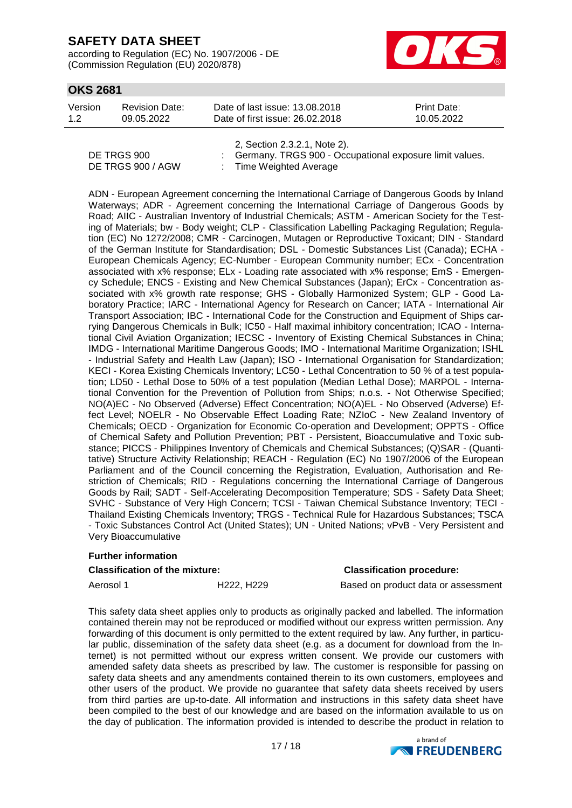according to Regulation (EC) No. 1907/2006 - DE (Commission Regulation (EU) 2020/878)



### **OKS 2681**

| Version | Revision Date: | Date of last issue: 13.08.2018  | <b>Print Date:</b> |
|---------|----------------|---------------------------------|--------------------|
| 1.2     | 09.05.2022     | Date of first issue: 26,02,2018 | 10.05.2022         |

|                   | 2, Section 2.3.2.1, Note 2).                              |
|-------------------|-----------------------------------------------------------|
| DE TRGS 900       | : Germany. TRGS 900 - Occupational exposure limit values. |
| DE TRGS 900 / AGW | : Time Weighted Average                                   |

ADN - European Agreement concerning the International Carriage of Dangerous Goods by Inland Waterways; ADR - Agreement concerning the International Carriage of Dangerous Goods by Road; AIIC - Australian Inventory of Industrial Chemicals; ASTM - American Society for the Testing of Materials; bw - Body weight; CLP - Classification Labelling Packaging Regulation; Regulation (EC) No 1272/2008; CMR - Carcinogen, Mutagen or Reproductive Toxicant; DIN - Standard of the German Institute for Standardisation; DSL - Domestic Substances List (Canada); ECHA - European Chemicals Agency; EC-Number - European Community number; ECx - Concentration associated with x% response; ELx - Loading rate associated with x% response; EmS - Emergency Schedule; ENCS - Existing and New Chemical Substances (Japan); ErCx - Concentration associated with x% growth rate response; GHS - Globally Harmonized System; GLP - Good Laboratory Practice; IARC - International Agency for Research on Cancer; IATA - International Air Transport Association; IBC - International Code for the Construction and Equipment of Ships carrying Dangerous Chemicals in Bulk; IC50 - Half maximal inhibitory concentration; ICAO - International Civil Aviation Organization; IECSC - Inventory of Existing Chemical Substances in China; IMDG - International Maritime Dangerous Goods; IMO - International Maritime Organization; ISHL - Industrial Safety and Health Law (Japan); ISO - International Organisation for Standardization; KECI - Korea Existing Chemicals Inventory; LC50 - Lethal Concentration to 50 % of a test population; LD50 - Lethal Dose to 50% of a test population (Median Lethal Dose); MARPOL - International Convention for the Prevention of Pollution from Ships; n.o.s. - Not Otherwise Specified; NO(A)EC - No Observed (Adverse) Effect Concentration; NO(A)EL - No Observed (Adverse) Effect Level; NOELR - No Observable Effect Loading Rate; NZIoC - New Zealand Inventory of Chemicals; OECD - Organization for Economic Co-operation and Development; OPPTS - Office of Chemical Safety and Pollution Prevention; PBT - Persistent, Bioaccumulative and Toxic substance; PICCS - Philippines Inventory of Chemicals and Chemical Substances; (Q)SAR - (Quantitative) Structure Activity Relationship; REACH - Regulation (EC) No 1907/2006 of the European Parliament and of the Council concerning the Registration, Evaluation, Authorisation and Restriction of Chemicals; RID - Regulations concerning the International Carriage of Dangerous Goods by Rail; SADT - Self-Accelerating Decomposition Temperature; SDS - Safety Data Sheet; SVHC - Substance of Very High Concern; TCSI - Taiwan Chemical Substance Inventory; TECI - Thailand Existing Chemicals Inventory; TRGS - Technical Rule for Hazardous Substances; TSCA - Toxic Substances Control Act (United States); UN - United Nations; vPvB - Very Persistent and Very Bioaccumulative

# **Further information**

**Classification of the mixture: Classification procedure:**

Aerosol 1 **H222, H229** Based on product data or assessment

This safety data sheet applies only to products as originally packed and labelled. The information contained therein may not be reproduced or modified without our express written permission. Any forwarding of this document is only permitted to the extent required by law. Any further, in particular public, dissemination of the safety data sheet (e.g. as a document for download from the Internet) is not permitted without our express written consent. We provide our customers with amended safety data sheets as prescribed by law. The customer is responsible for passing on safety data sheets and any amendments contained therein to its own customers, employees and other users of the product. We provide no guarantee that safety data sheets received by users from third parties are up-to-date. All information and instructions in this safety data sheet have been compiled to the best of our knowledge and are based on the information available to us on the day of publication. The information provided is intended to describe the product in relation to